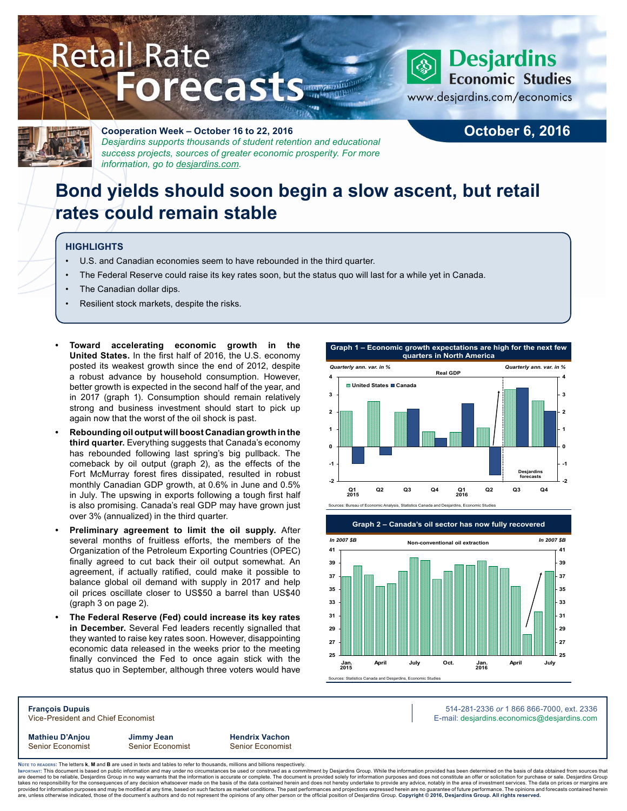# **Retail Rate Forecasts**



## **Desjardins Economic Studies**

www.desjardins.com/economics



## **Cooperation Week – October 16 to 22, 2016** *Desjardins supports thousands of student retention and educational success projects, sources of greater economic prosperity. For more*

**October 6, 2016**

# **Bond yields should soon begin a slow ascent, but retail rates could remain stable**

## **HIGHLIGHTS**

- U.S. and Canadian economies seem to have rebounded in the third quarter.
- The Federal Reserve could raise its key rates soon, but the status quo will last for a while yet in Canada.
- The Canadian dollar dips.
- Resilient stock markets, despite the risks.

*information, go to [desjardins.com](https://www.desjardins.com/ca/co-opme/desjardins-difference/co-op-week/index.jsp).*

- **• Toward accelerating economic growth in the United States.** In the first half of 2016, the U.S. economy posted its weakest growth since the end of 2012, despite a robust advance by household consumption. However, better growth is expected in the second half of the year, and in 2017 (graph 1). Consumption should remain relatively strong and business investment should start to pick up again now that the worst of the oil shock is past.
- **• Rebounding oil output will boost Canadian growth in the third quarter.** Everything suggests that Canada's economy has rebounded following last spring's big pullback. The comeback by oil output (graph 2), as the effects of the Fort McMurray forest fires dissipated, resulted in robust monthly Canadian GDP growth, at 0.6% in June and 0.5% in July. The upswing in exports following a tough first half is also promising. Canada's real GDP may have grown just over 3% (annualized) in the third quarter.
- **• Preliminary agreement to limit the oil supply.** After several months of fruitless efforts, the members of the Organization of the Petroleum Exporting Countries (OPEC) finally agreed to cut back their oil output somewhat. An agreement, if actually ratified, could make it possible to balance global oil demand with supply in 2017 and help oil prices oscillate closer to US\$50 a barrel than US\$40 (graph 3 on page 2).
- **• The Federal Reserve (Fed) could increase its key rates in December.** Several Fed leaders recently signalled that they wanted to raise key rates soon. However, disappointing economic data released in the weeks prior to the meeting finally convinced the Fed to once again stick with the status quo in September, although three voters would have





**Mathieu D'Anjou Jimmy Jean Hendrix Vachon** Senior Economist Senior Economist Senior Economist

**François Dupuis** 514-281-2336 *or* 1 866 866-7000, ext. 2336 Vice-President and Chief Economist **E-mail: designediate and Chief Economist** E-mail: designediate economics@desjardins.com

Noте то келоекs: The letters **k, M** and **B** are used in texts and tables to refer to thousands, millions and billions respectively.<br>Імроктлит: This document is based on public information and may under no circumstances be are deemed to be reliable, Desjardins Group in no way warrants that the information is accurate or complete. The document is provided solely for information purposes and does not constitute an offer or solicitation for pur takes no responsibility for the consequences of any decision whatsoever made on the basis of the data contained herein and does not hereby undertake to provide any advice, notably in the area of investment services. The da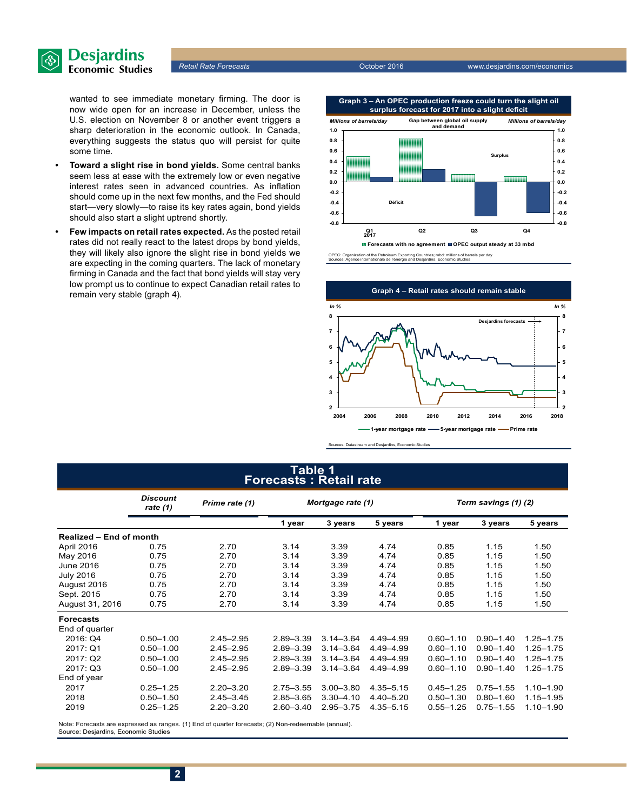

wanted to see immediate monetary firming. The door is now wide open for an increase in December, unless the U.S. election on November 8 or another event triggers a sharp deterioration in the economic outlook. In Canada, everything suggests the status quo will persist for quite some time.

- **• Toward a slight rise in bond yields.** Some central banks seem less at ease with the extremely low or even negative interest rates seen in advanced countries. As inflation should come up in the next few months, and the Fed should start—very slowly—to raise its key rates again, bond yields should also start a slight uptrend shortly.
- **• Few impacts on retail rates expected.** As the posted retail rates did not really react to the latest drops by bond yields, they will likely also ignore the slight rise in bond yields we are expecting in the coming quarters. The lack of monetary firming in Canada and the fact that bond yields will stay very low prompt us to continue to expect Canadian retail rates to remain very stable (graph 4).



OPEC: Organization of the Petroleum Exporting Countries; mbd: millions of barrels per day Sources: Agence internationale de l'énergie and Desjardins, Economic Studies



Sources: Datastream and Desjardins, Economic Studies

### **Table 1 Forecasts : Retail rate**

|                                | <b>Discount</b><br>Prime rate (1)<br>rate $(1)$ |               | Mortgage rate (1) |               |               | Term savings (1) (2) |               |               |  |
|--------------------------------|-------------------------------------------------|---------------|-------------------|---------------|---------------|----------------------|---------------|---------------|--|
|                                |                                                 |               | 1 year            | 3 years       | 5 years       | 1 year               | 3 years       | 5 years       |  |
| <b>Realized - End of month</b> |                                                 |               |                   |               |               |                      |               |               |  |
| April 2016                     | 0.75                                            | 2.70          | 3.14              | 3.39          | 4.74          | 0.85                 | 1.15          | 1.50          |  |
| May 2016                       | 0.75                                            | 2.70          | 3.14              | 3.39          | 4.74          | 0.85                 | 1.15          | 1.50          |  |
| June 2016                      | 0.75                                            | 2.70          | 3.14              | 3.39          | 4.74          | 0.85                 | 1.15          | 1.50          |  |
| <b>July 2016</b>               | 0.75                                            | 2.70          | 3.14              | 3.39          | 4.74          | 0.85                 | 1.15          | 1.50          |  |
| August 2016                    | 0.75                                            | 2.70          | 3.14              | 3.39          | 4.74          | 0.85                 | 1.15          | 1.50          |  |
| Sept. 2015                     | 0.75                                            | 2.70          | 3.14              | 3.39          | 4.74          | 0.85                 | 1.15          | 1.50          |  |
| August 31, 2016                | 0.75                                            | 2.70          | 3.14              | 3.39          | 4.74          | 0.85                 | 1.15          | 1.50          |  |
| <b>Forecasts</b>               |                                                 |               |                   |               |               |                      |               |               |  |
| End of quarter                 |                                                 |               |                   |               |               |                      |               |               |  |
| 2016: Q4                       | $0.50 - 1.00$                                   | $2.45 - 2.95$ | $2.89 - 3.39$     | $3.14 - 3.64$ | 4.49-4.99     | $0.60 - 1.10$        | $0.90 - 1.40$ | $1.25 - 1.75$ |  |
| 2017: Q1                       | $0.50 - 1.00$                                   | $2.45 - 2.95$ | $2.89 - 3.39$     | $3.14 - 3.64$ | 4.49-4.99     | $0.60 - 1.10$        | $0.90 - 1.40$ | $1.25 - 1.75$ |  |
| 2017: Q2                       | $0.50 - 1.00$                                   | $2.45 - 2.95$ | $2.89 - 3.39$     | $3.14 - 3.64$ | 4.49 - 4.99   | $0.60 - 1.10$        | $0.90 - 1.40$ | $1.25 - 1.75$ |  |
| 2017: Q3                       | $0.50 - 1.00$                                   | $2.45 - 2.95$ | $2.89 - 3.39$     | $3.14 - 3.64$ | 4.49-4.99     | $0.60 - 1.10$        | $0.90 - 1.40$ | $1.25 - 1.75$ |  |
| End of year                    |                                                 |               |                   |               |               |                      |               |               |  |
| 2017                           | $0.25 - 1.25$                                   | $2.20 - 3.20$ | $2.75 - 3.55$     | $3.00 - 3.80$ | 4.35-5.15     | $0.45 - 1.25$        | $0.75 - 1.55$ | $1.10 - 1.90$ |  |
| 2018                           | $0.50 - 1.50$                                   | $2.45 - 3.45$ | $2.85 - 3.65$     | $3.30 - 4.10$ | $4.40 - 5.20$ | $0.50 - 1.30$        | $0.80 - 1.60$ | $1.15 - 1.95$ |  |
| 2019                           | $0.25 - 1.25$                                   | $2.20 - 3.20$ | $2.60 - 3.40$     | 2.95-3.75     | $4.35 - 5.15$ | $0.55 - 1.25$        | $0.75 - 1.55$ | $1.10 - 1.90$ |  |

Note: Forecasts are expressed as ranges. (1) End of quarter forecasts; (2) Non-redeemable (annual). Source: Desjardins, Economic Studies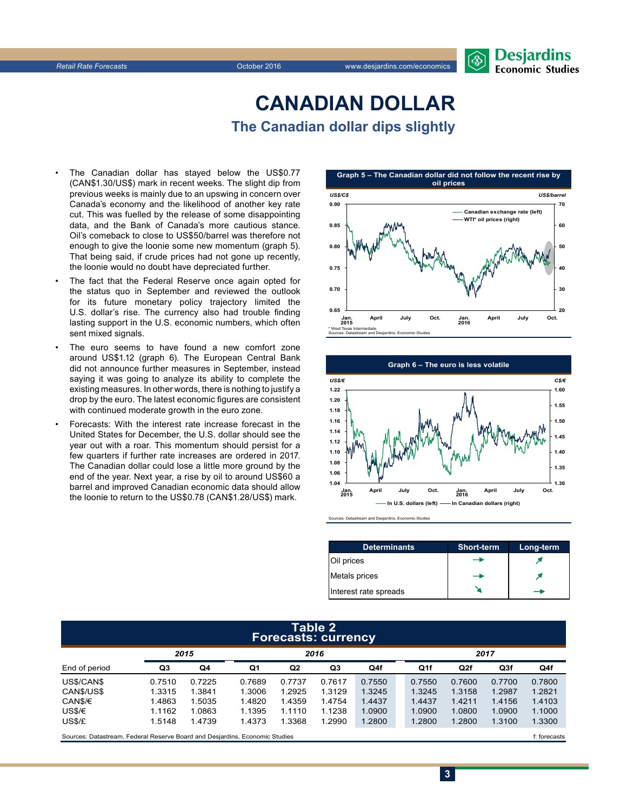# **Burnalist Desjardins**

# **CANADIAN DOLLAR The Canadian dollar dips slightly**

- The Canadian dollar has stayed below the US\$0.77 (CAN\$1.30/US\$) mark in recent weeks. The slight dip from previous weeks is mainly due to an upswing in concern over Canada's economy and the likelihood of another key rate cut. This was fuelled by the release of some disappointing data, and the Bank of Canada's more cautious stance. Oil's comeback to close to US\$50/barrel was therefore not enough to give the loonie some new momentum (graph 5). That being said, if crude prices had not gone up recently, the loonie would no doubt have depreciated further.
- The fact that the Federal Reserve once again opted for the status quo in September and reviewed the outlook for its future monetary policy trajectory limited the U.S. dollar's rise. The currency also had trouble finding lasting support in the U.S. economic numbers, which often sent mixed signals.
- The euro seems to have found a new comfort zone around US\$1.12 (graph 6). The European Central Bank did not announce further measures in September, instead saying it was going to analyze its ability to complete the existing measures. In other words, there is nothing to justify a drop by the euro. The latest economic figures are consistent with continued moderate growth in the euro zone.
- Forecasts: With the interest rate increase forecast in the United States for December, the U.S. dollar should see the year out with a roar. This momentum should persist for a few quarters if further rate increases are ordered in 2017. The Canadian dollar could lose a little more ground by the end of the year. Next year, a rise by oil to around US\$60 a barrel and improved Canadian economic data should allow the loonie to return to the US\$0.78 (CAN\$1.28/US\$) mark.





| <b>Determinants</b>   | Short-term | Long-term |
|-----------------------|------------|-----------|
| Oil prices            |            |           |
| Metals prices         |            |           |
| Interest rate spreads |            |           |

#### **Table 2 Forecasts: currency**

|                                                                             | 2015   |        | 2016   |                |        |        |  | 2017            |              |                 |        |
|-----------------------------------------------------------------------------|--------|--------|--------|----------------|--------|--------|--|-----------------|--------------|-----------------|--------|
| End of period                                                               | Q3     | Q4     | Q1     | Q <sub>2</sub> | Q3     | Q4f    |  | Q <sub>1f</sub> | Q2f          | Q <sub>3f</sub> | Q4f    |
| US\$/CAN\$                                                                  | 0.7510 | 0.7225 | 0.7689 | 0.7737         | 0.7617 | 0.7550 |  | 0.7550          | 0.7600       | 0.7700          | 0.7800 |
| CANS/USS                                                                    | 1.3315 | 1.3841 | 1.3006 | 1.2925         | 1.3129 | 1.3245 |  | 1.3245          | 1.3158       | 1.2987          | 1.2821 |
| CAN\$/€                                                                     | 1.4863 | 1.5035 | 1.4820 | 1.4359         | 1.4754 | 1.4437 |  | 1.4437          | 1.4211       | 1.4156          | 1.4103 |
| US\$/€                                                                      | 1.1162 | 1.0863 | 1.1395 | 1.1110         | 1.1238 | 1.0900 |  | 1.0900          | 1.0800       | 1.0900          | 1.1000 |
| US\$/£                                                                      | 1.5148 | 1.4739 | 1.4373 | 1.3368         | 1.2990 | 1.2800 |  | 1.2800          | 1.2800       | 1.3100          | 1.3300 |
| Sources: Datastream, Federal Reserve Board and Desjardins, Economic Studies |        |        |        |                |        |        |  |                 | f: forecasts |                 |        |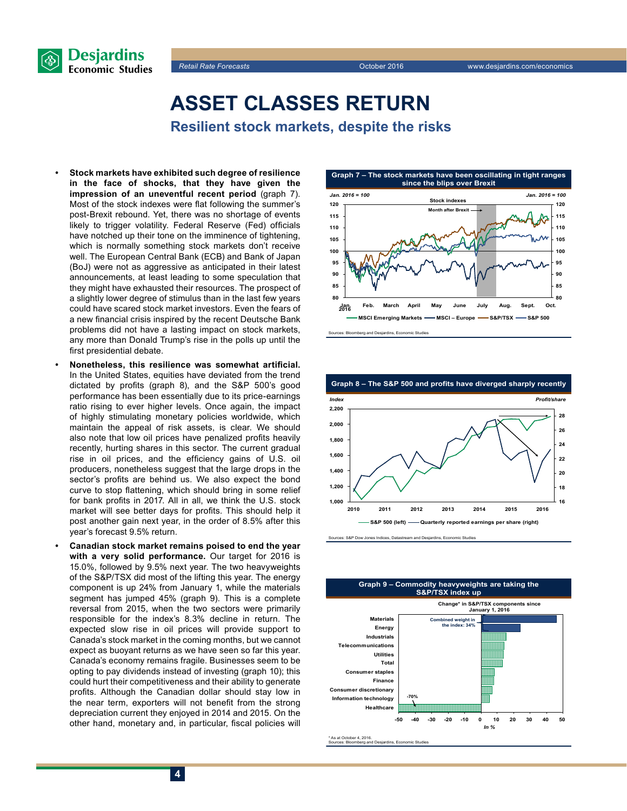



**ASSET CLASSES RETURN**

**Resilient stock markets, despite the risks**

- **• Stock markets have exhibited such degree of resilience in the face of shocks, that they have given the impression of an uneventful recent period** (graph 7). Most of the stock indexes were flat following the summer's post-Brexit rebound. Yet, there was no shortage of events likely to trigger volatility. Federal Reserve (Fed) officials have notched up their tone on the imminence of tightening, which is normally something stock markets don't receive well. The European Central Bank (ECB) and Bank of Japan (BoJ) were not as aggressive as anticipated in their latest announcements, at least leading to some speculation that they might have exhausted their resources. The prospect of a slightly lower degree of stimulus than in the last few years could have scared stock market investors. Even the fears of a new financial crisis inspired by the recent Deutsche Bank problems did not have a lasting impact on stock markets, any more than Donald Trump's rise in the polls up until the first presidential debate.
- **• Nonetheless, this resilience was somewhat artificial.** In the United States, equities have deviated from the trend dictated by profits (graph 8), and the S&P 500's good performance has been essentially due to its price-earnings ratio rising to ever higher levels. Once again, the impact of highly stimulating monetary policies worldwide, which maintain the appeal of risk assets, is clear. We should also note that low oil prices have penalized profits heavily recently, hurting shares in this sector. The current gradual rise in oil prices, and the efficiency gains of U.S. oil producers, nonetheless suggest that the large drops in the sector's profits are behind us. We also expect the bond curve to stop flattening, which should bring in some relief for bank profits in 2017. All in all, we think the U.S. stock market will see better days for profits. This should help it post another gain next year, in the order of 8.5% after this year's forecast 9.5% return.
- **• Canadian stock market remains poised to end the year with a very solid performance.** Our target for 2016 is 15.0%, followed by 9.5% next year. The two heavyweights of the S&P/TSX did most of the lifting this year. The energy component is up 24% from January 1, while the materials segment has jumped 45% (graph 9). This is a complete reversal from 2015, when the two sectors were primarily responsible for the index's 8.3% decline in return. The expected slow rise in oil prices will provide support to Canada's stock market in the coming months, but we cannot expect as buoyant returns as we have seen so far this year. Canada's economy remains fragile. Businesses seem to be opting to pay dividends instead of investing (graph 10); this could hurt their competitiveness and their ability to generate profits. Although the Canadian dollar should stay low in the near term, exporters will not benefit from the strong depreciation current they enjoyed in 2014 and 2015. On the other hand, monetary and, in particular, fiscal policies will